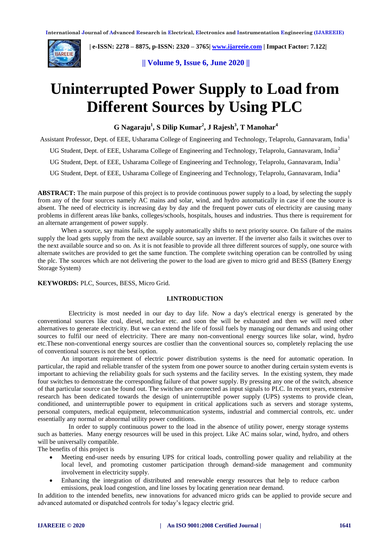

 **| e-ISSN: 2278 – 8875, p-ISSN: 2320 – 3765[| www.ijareeie.com](http://www.ijareeie.com/) | Impact Factor: 7.122|** 

**|| Volume 9, Issue 6, June 2020 ||** 

# **Uninterrupted Power Supply to Load from Different Sources by Using PLC**

**G Nagaraju<sup>1</sup> , S Dilip Kumar<sup>2</sup> , J Rajesh<sup>3</sup> , T Manohar<sup>4</sup>**

Assistant Professor, Dept. of EEE, Usharama College of Engineering and Technology, Telaprolu, Gannavaram, India<sup>1</sup>

UG Student, Dept. of EEE, Usharama College of Engineering and Technology, Telaprolu, Gannavaram, India<sup>2</sup>

UG Student, Dept. of EEE, Usharama College of Engineering and Technology, Telaprolu, Gannavaram, India<sup>3</sup>

UG Student, Dept. of EEE, Usharama College of Engineering and Technology, Telaprolu, Gannavaram, India<sup>4</sup>

**ABSTRACT:** The main purpose of this project is to provide continuous power supply to a load, by selecting the supply from any of the four sources namely AC mains and solar, wind, and hydro automatically in case if one the source is absent. The need of electricity is increasing day by day and the frequent power cuts of electricity are causing many problems in different areas like banks, colleges/schools, hospitals, houses and industries. Thus there is requirement for an alternate arrangement of power supply.

When a source, say mains fails, the supply automatically shifts to next priority source. On failure of the mains supply the load gets supply from the next available source, say an inverter. If the inverter also fails it switches over to the next available source and so on. As it is not feasible to provide all three different sources of supply, one source with alternate switches are provided to get the same function. The complete switching operation can be controlled by using the plc. The sources which are not delivering the power to the load are given to micro grid and BESS (Battery Energy Storage System)

**KEYWORDS:** PLC, Sources, BESS, Micro Grid.

# **I.INTRODUCTION**

Electricity is most needed in our day to day life. Now a day's electrical energy is generated by the conventional sources like coal, diesel, nuclear etc. and soon the will be exhausted and then we will need other alternatives to generate electricity. But we can extend the life of fossil fuels by managing our demands and using other sources to fulfil our need of electricity. There are many non-conventional energy sources like solar, wind, hydro etc.These non-conventional energy sources are costlier than the conventional sources so, completely replacing the use of conventional sources is not the best option.

An important requirement of electric power distribution systems is the need for automatic operation. In particular, the rapid and reliable transfer of the system from one power source to another during certain system events is important to achieving the reliability goals for such systems and the facility serves. In the existing system, they made four switches to demonstrate the corresponding failure of that power supply. By pressing any one of the switch, absence of that particular source can be found out. The switches are connected as input signals to PLC. In recent years, extensive research has been dedicated towards the design of uninterruptible power supply (UPS) systems to provide clean, conditioned, and uninterruptible power to equipment in critical applications such as servers and storage systems, personal computers, medical equipment, telecommunication systems, industrial and commercial controls, etc. under essentially any normal or abnormal utility power conditions.

In order to supply continuous power to the load in the absence of utility power, energy storage systems such as batteries. Many energy resources will be used in this project. Like AC mains solar, wind, hydro, and others will be universally compatible.

The benefits of this project is

- Meeting end-user needs by ensuring UPS for critical loads, controlling power quality and reliability at the local level, and promoting customer participation through demand-side management and community involvement in electricity supply.
- Enhancing the integration of distributed and renewable energy resources that help to reduce carbon emissions, peak load congestion, and line losses by locating generation near demand.

In addition to the intended benefits, new innovations for advanced micro grids can be applied to provide secure and advanced automated or dispatched controls for today's legacy electric grid.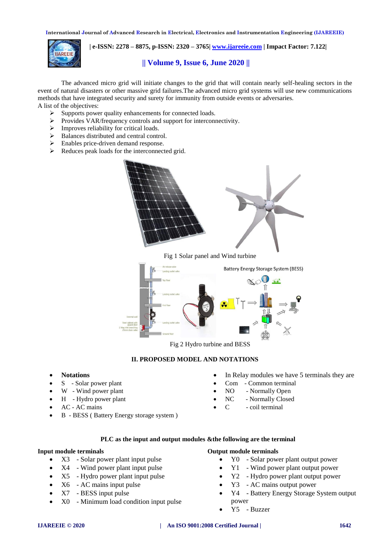

 **| e-ISSN: 2278 – 8875, p-ISSN: 2320 – 3765[| www.ijareeie.com](http://www.ijareeie.com/) | Impact Factor: 7.122|** 

# **|| Volume 9, Issue 6, June 2020 ||**

The advanced micro grid will initiate changes to the grid that will contain nearly self-healing sectors in the event of natural disasters or other massive grid failures.The advanced micro grid systems will use new communications methods that have integrated security and surety for immunity from outside events or adversaries. A list of the objectives:

- $\triangleright$  Supports power quality enhancements for connected loads.
- > Provides VAR/frequency controls and support for interconnectivity.
- $\triangleright$  Improves reliability for critical loads.<br> $\triangleright$  Balances distributed and central contr
- Balances distributed and central control.
- $\triangleright$  Enables price-driven demand response.
- $\triangleright$  Reduces peak loads for the interconnected grid.



Fig 1 Solar panel and Wind turbine



Fig 2 Hydro turbine and BESS

#### **II. PROPOSED MODEL AND NOTATIONS**

- **Notations**
- S Solar power plant
- W Wind power plant
- $\bullet$  H Hydro power plant
- AC AC mains
- B BESS ( Battery Energy storage system )
- In Relay modules we have 5 terminals they are
- Com Common terminal
- NO Normally Open
- NC Normally Closed
- $C = \text{coil terminal}$

### **PLC as the input and output modules &the following are the terminal**

#### **Input module terminals**

- X3 Solar power plant input pulse
- X4 Wind power plant input pulse
- X5 Hydro power plant input pulse
- $\bullet$  X6 AC mains input pulse
- X7 BESS input pulse
- X0 Minimum load condition input pulse

# **Output module terminals**

- Y0 Solar power plant output power
- Y1 Wind power plant output power
- Y2 Hydro power plant output power
- Y3 AC mains output power
- Y4 Battery Energy Storage System output power
- Y5 Buzzer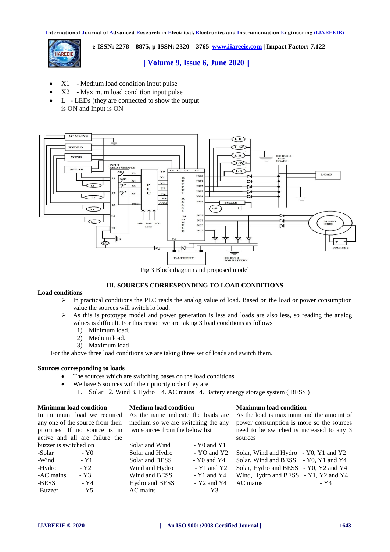

 **| e-ISSN: 2278 – 8875, p-ISSN: 2320 – 3765[| www.ijareeie.com](http://www.ijareeie.com/) | Impact Factor: 7.122|** 

# **|| Volume 9, Issue 6, June 2020 ||**

- X1 Medium load condition input pulse
- X2 Maximum load condition input pulse
- L LEDs (they are connected to show the output is ON and Input is ON



Fig 3 Block diagram and proposed model

# **III. SOURCES CORRESPONDING TO LOAD CONDITIONS**

#### **Load conditions**

- $\triangleright$  In practical conditions the PLC reads the analog value of load. Based on the load or power consumption value the sources will switch lo load.
- $\triangleright$  As this is prototype model and power generation is less and loads are also less, so reading the analog values is difficult. For this reason we are taking 3 load conditions as follows
	- 1) Minimum load.
	- 2) Medium load.
	- 3) Maximum load

For the above three load conditions we are taking three set of loads and switch them.

# **Sources corresponding to loads**

- The sources which are switching bases on the load conditions.
	- We have 5 sources with their priority order they are
		- 1. Solar 2. Wind 3. Hydro 4. AC mains 4. Battery energy storage system ( BESS )

| <b>Minimum load condition</b>    | <b>Medium load condition</b>       |                 | <b>Maximum load condition</b>             |      |
|----------------------------------|------------------------------------|-----------------|-------------------------------------------|------|
| In minimum load we required      | As the name indicate the loads are |                 | As the load is maximum and the amount of  |      |
| any one of the source from their | medium so we are switching the any |                 | power consumption is more so the sources  |      |
| priorities. If no source is in   | two sources from the below list    |                 | need to be switched is increased to any 3 |      |
| active and all are failure the   |                                    |                 | sources                                   |      |
| buzzer is switched on            | Solar and Wind                     | $-Y0$ and $Y1$  |                                           |      |
| -Solar<br>- Y0                   | Solar and Hydro                    | $-YO$ and $Y2$  | Solar, Wind and Hydro - Y0, Y1 and Y2     |      |
| -Wind<br>- Y1                    | Solar and BESS                     | $- Y0$ and $Y4$ | Solar, Wind and BESS - Y0, Y1 and Y4      |      |
| $-Y2$<br>-Hydro                  | Wind and Hydro                     | $-Y1$ and $Y2$  | Solar, Hydro and BESS - Y0, Y2 and Y4     |      |
| -AC mains.<br>$-Y3$              | Wind and BESS                      | $-Y1$ and $Y4$  | Wind, Hydro and BESS - Y1, Y2 and Y4      |      |
| $-Y4$<br>-BESS                   | Hydro and BESS                     | $-$ Y2 and Y4   | AC mains                                  | - Y3 |
| $-Y5$<br>-Buzzer                 | AC mains                           | - Y3            |                                           |      |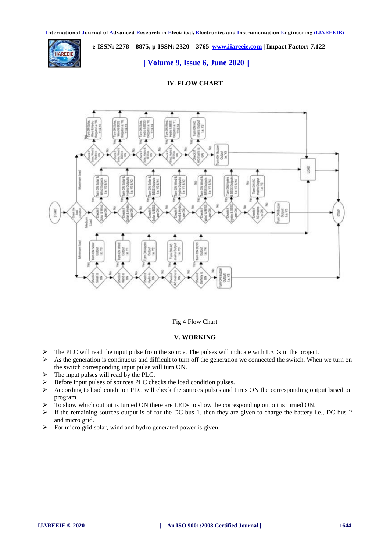**IAREEIE** 

# **| e-ISSN: 2278 – 8875, p-ISSN: 2320 – 3765[| www.ijareeie.com](http://www.ijareeie.com/) | Impact Factor: 7.122|**

# **|| Volume 9, Issue 6, June 2020 ||**

# **IV. FLOW CHART**



#### Fig 4 Flow Chart

# **V. WORKING**

- $\triangleright$  The PLC will read the input pulse from the source. The pulses will indicate with LEDs in the project.
- $\triangleright$  As the generation is continuous and difficult to turn off the generation we connected the switch. When we turn on the switch corresponding input pulse will turn ON.
- $\triangleright$  The input pulses will read by the PLC.
- Before input pulses of sources PLC checks the load condition pulses.
- $\triangleright$  According to load condition PLC will check the sources pulses and turns ON the corresponding output based on program.
- To show which output is turned ON there are LEDs to show the corresponding output is turned ON.
- $\triangleright$  If the remaining sources output is of for the DC bus-1, then they are given to charge the battery i.e., DC bus-2 and micro grid.
- $\triangleright$  For micro grid solar, wind and hydro generated power is given.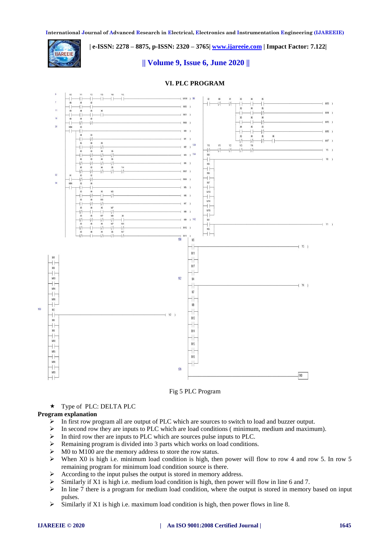**| e-ISSN: 2278 – 8875, p-ISSN: 2320 – 3765[| www.ijareeie.com](http://www.ijareeie.com/) | Impact Factor: 7.122|** 



# **|| Volume 9, Issue 6, June 2020 ||**

# **VI. PLC PROGRAM**



#### Fig 5 PLC Program

Type of PLC: DELTA PLC

#### **Program explanation**

- $\triangleright$  In first row program all are output of PLC which are sources to switch to load and buzzer output.
- $\triangleright$  In second row they are inputs to PLC which are load conditions ( minimum, medium and maximum).
- $\triangleright$  In third row ther are inputs to PLC which are sources pulse inputs to PLC.
- $\triangleright$  Remaining program is divided into 3 parts which works on load conditions.
- $\triangleright$  M0 to M100 are the memory address to store the row status.
- $\triangleright$  When X0 is high i.e. minimum load condition is high, then power will flow to row 4 and row 5. In row 5 remaining program for minimum load condition source is there.
- $\triangleright$  According to the input pulses the output is stored in memory address.
- $\triangleright$  Similarly if X1 is high i.e. medium load condition is high, then power will flow in line 6 and 7.
- $\triangleright$  In line 7 there is a program for medium load condition, where the output is stored in memory based on input pulses.
- $\triangleright$  Similarly if X1 is high i.e. maximum load condition is high, then power flows in line 8.

#### **IJAREEIE © 2020 | An ISO 9001:2008 Certified Journal | 1645**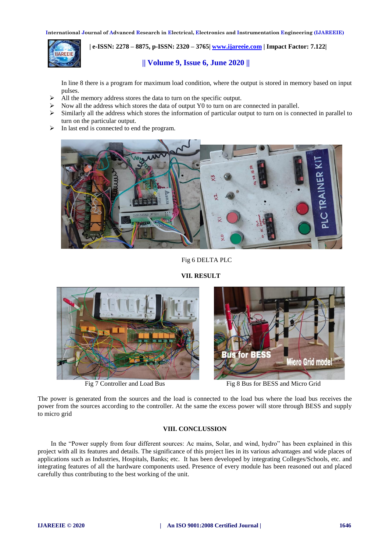

 **| e-ISSN: 2278 – 8875, p-ISSN: 2320 – 3765[| www.ijareeie.com](http://www.ijareeie.com/) | Impact Factor: 7.122|** 

# **|| Volume 9, Issue 6, June 2020 ||**

In line 8 there is a program for maximum load condition, where the output is stored in memory based on input pulses.

- $\triangleright$  All the memory address stores the data to turn on the specific output.
- Now all the address which stores the data of output Y0 to turn on are connected in parallel.
- $\triangleright$  Similarly all the address which stores the information of particular output to turn on is connected in parallel to turn on the particular output.
- $\triangleright$  In last end is connected to end the program.



Fig 6 DELTA PLC

**VII. RESULT** 



**Bus for BESS Micro Grid model** 

Fig 7 Controller and Load Bus Fig 8 Bus for BESS and Micro Grid

The power is generated from the sources and the load is connected to the load bus where the load bus receives the power from the sources according to the controller. At the same the excess power will store through BESS and supply to micro grid

# **VIII. CONCLUSSION**

In the "Power supply from four different sources: Ac mains, Solar, and wind, hydro" has been explained in this project with all its features and details. The significance of this project lies in its various advantages and wide places of applications such as Industries, Hospitals, Banks; etc. It has been developed by integrating Colleges/Schools, etc. and integrating features of all the hardware components used. Presence of every module has been reasoned out and placed carefully thus contributing to the best working of the unit.